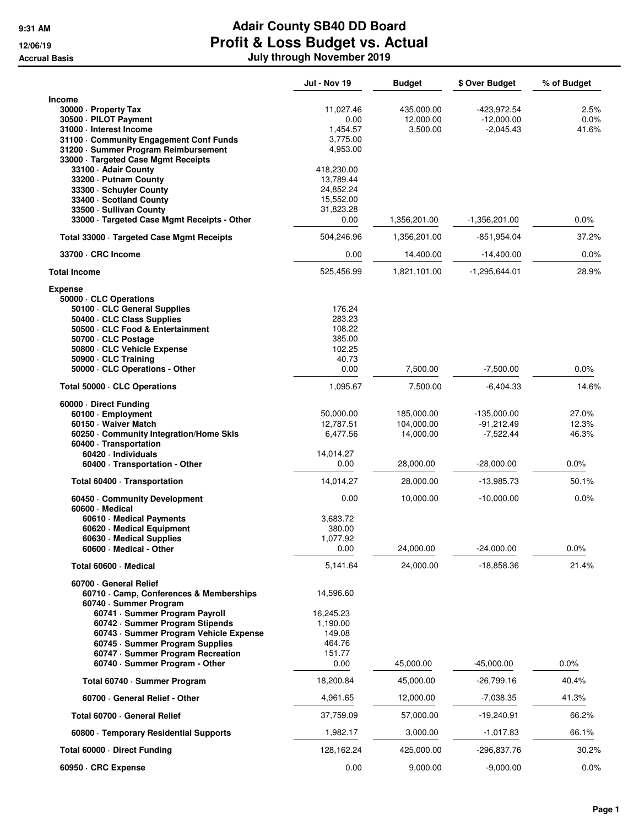|                                                                                                                                                                                                                                                                                                                  | <b>Jul - Nov 19</b>                                                      | <b>Budget</b>                         | \$ Over Budget                               | % of Budget             |
|------------------------------------------------------------------------------------------------------------------------------------------------------------------------------------------------------------------------------------------------------------------------------------------------------------------|--------------------------------------------------------------------------|---------------------------------------|----------------------------------------------|-------------------------|
| <b>Income</b><br>30000 · Property Tax<br>30500 · PILOT Payment<br>31000 - Interest Income<br>31100 Community Engagement Conf Funds<br>31200 · Summer Program Reimbursement<br>33000 · Targeted Case Mgmt Receipts                                                                                                | 11,027.46<br>0.00<br>1,454.57<br>3.775.00<br>4,953.00                    | 435,000.00<br>12,000.00<br>3,500.00   | -423,972.54<br>$-12,000.00$<br>$-2,045.43$   | 2.5%<br>0.0%<br>41.6%   |
| 33100 - Adair County<br>33200 - Putnam County<br>33300 · Schuyler County<br>33400 · Scotland County<br>33500 - Sullivan County<br>33000 · Targeted Case Mgmt Receipts - Other                                                                                                                                    | 418,230.00<br>13,789.44<br>24,852.24<br>15,552.00<br>31,823.28<br>0.00   | 1,356,201.00                          | $-1,356,201.00$                              | 0.0%                    |
| Total 33000 · Targeted Case Mgmt Receipts                                                                                                                                                                                                                                                                        | 504,246.96                                                               | 1,356,201.00                          | -851,954.04                                  | 37.2%                   |
| 33700 · CRC Income                                                                                                                                                                                                                                                                                               | 0.00                                                                     | 14,400.00                             | $-14,400.00$                                 | $0.0\%$                 |
| <b>Total Income</b>                                                                                                                                                                                                                                                                                              | 525,456.99                                                               | 1,821,101.00                          | $-1,295,644.01$                              | 28.9%                   |
| <b>Expense</b><br>50000 · CLC Operations<br>50100 · CLC General Supplies<br>50400 · CLC Class Supplies<br>50500 · CLC Food & Entertainment<br>50700 - CLC Postage<br>50800 CLC Vehicle Expense<br>50900 · CLC Training<br>50000 · CLC Operations - Other                                                         | 176.24<br>283.23<br>108.22<br>385.00<br>102.25<br>40.73<br>0.00          | 7,500.00                              | -7,500.00                                    | $0.0\%$                 |
| Total 50000 · CLC Operations                                                                                                                                                                                                                                                                                     | 1,095.67                                                                 | 7,500.00                              | $-6,404.33$                                  | 14.6%                   |
| 60000 Direct Funding<br>60100 · Employment<br>60150 Waiver Match<br>60250 Community Integration/Home Skls<br>60400 · Transportation<br>60420 · Individuals                                                                                                                                                       | 50,000.00<br>12,787.51<br>6,477.56<br>14,014.27                          | 185,000.00<br>104,000.00<br>14,000.00 | $-135,000.00$<br>$-91,212.49$<br>$-7,522.44$ | 27.0%<br>12.3%<br>46.3% |
| 60400 · Transportation - Other                                                                                                                                                                                                                                                                                   | 0.00                                                                     | 28,000.00                             | $-28,000.00$                                 | 0.0%                    |
| Total 60400 · Transportation                                                                                                                                                                                                                                                                                     | 14,014.27                                                                | 28,000.00                             | -13,985.73                                   | 50.1%                   |
| 60450 Community Development                                                                                                                                                                                                                                                                                      | 0.00                                                                     | 10,000.00                             | $-10,000.00$                                 | 0.0%                    |
| 60600 Medical<br>60610 · Medical Payments<br>60620 · Medical Equipment<br>60630 · Medical Supplies<br>60600 · Medical - Other                                                                                                                                                                                    | 3,683.72<br>380.00<br>1,077.92<br>0.00                                   | 24,000.00                             | $-24,000.00$                                 | $0.0\%$                 |
| Total 60600 · Medical                                                                                                                                                                                                                                                                                            | 5,141.64                                                                 | 24,000.00                             | -18,858.36                                   | 21.4%                   |
| 60700 General Relief<br>60710 Camp, Conferences & Memberships<br>60740 · Summer Program<br>60741 · Summer Program Payroll<br>60742 · Summer Program Stipends<br>60743 · Summer Program Vehicle Expense<br>60745 · Summer Program Supplies<br>60747 · Summer Program Recreation<br>60740 · Summer Program - Other | 14,596.60<br>16,245.23<br>1,190.00<br>149.08<br>464.76<br>151.77<br>0.00 | 45,000.00                             | $-45,000.00$                                 | 0.0%                    |
| Total 60740 · Summer Program                                                                                                                                                                                                                                                                                     | 18,200.84                                                                | 45,000.00                             | -26,799.16                                   | 40.4%                   |
| 60700 General Relief - Other                                                                                                                                                                                                                                                                                     | 4,961.65                                                                 | 12,000.00                             | $-7,038.35$                                  | 41.3%                   |
| Total 60700 · General Relief                                                                                                                                                                                                                                                                                     | 37,759.09                                                                | 57,000.00                             | $-19,240.91$                                 | 66.2%                   |
| 60800 · Temporary Residential Supports                                                                                                                                                                                                                                                                           | 1,982.17                                                                 | 3,000.00                              | -1,017.83                                    | 66.1%                   |
| Total 60000 · Direct Funding                                                                                                                                                                                                                                                                                     | 128,162.24                                                               | 425,000.00                            | -296,837.76                                  | 30.2%                   |
| 60950 · CRC Expense                                                                                                                                                                                                                                                                                              | 0.00                                                                     | 9,000.00                              | $-9,000.00$                                  | $0.0\%$                 |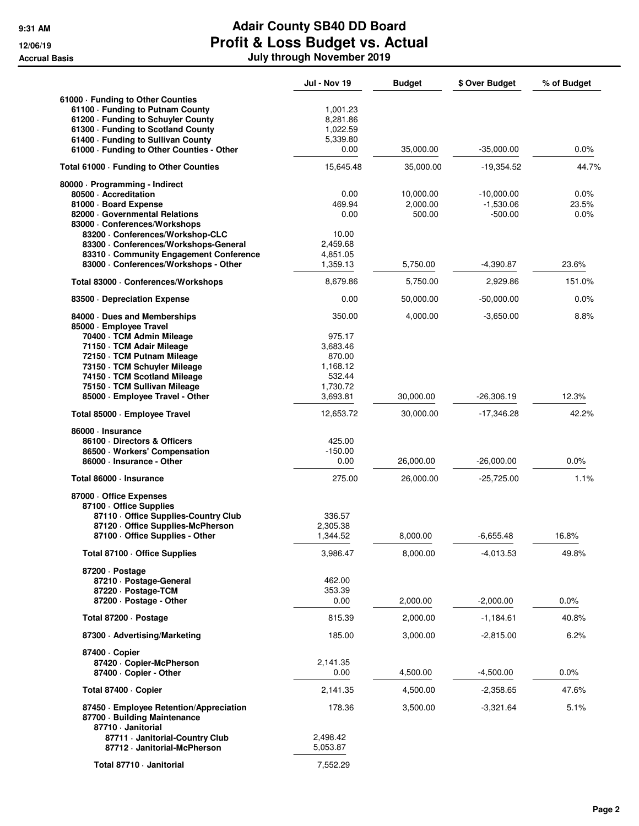|                                                              | Jul - Nov 19       | <b>Budget</b>      | \$ Over Budget           | % of Budget   |
|--------------------------------------------------------------|--------------------|--------------------|--------------------------|---------------|
| 61000 · Funding to Other Counties                            |                    |                    |                          |               |
| 61100 - Funding to Putnam County                             | 1,001.23           |                    |                          |               |
| 61200 · Funding to Schuyler County                           | 8,281.86           |                    |                          |               |
| 61300 - Funding to Scotland County                           | 1,022.59           |                    |                          |               |
| 61400 - Funding to Sullivan County                           | 5,339.80           |                    |                          |               |
| 61000 · Funding to Other Counties - Other                    | 0.00               | 35,000.00          | $-35,000.00$             | 0.0%          |
| Total 61000 · Funding to Other Counties                      | 15,645.48          | 35,000.00          | -19,354.52               | 44.7%         |
| 80000 · Programming - Indirect                               |                    |                    |                          |               |
| 80500 - Accreditation                                        | 0.00               | 10,000.00          | $-10,000.00$             | 0.0%          |
| 81000 · Board Expense<br>82000 Governmental Relations        | 469.94<br>0.00     | 2,000.00<br>500.00 | $-1,530.06$<br>$-500.00$ | 23.5%<br>0.0% |
| 83000 - Conferences/Workshops                                |                    |                    |                          |               |
| 83200 - Conferences/Workshop-CLC                             | 10.00              |                    |                          |               |
| 83300 · Conferences/Workshops-General                        | 2,459.68           |                    |                          |               |
| 83310 Community Engagement Conference                        | 4,851.05           |                    |                          |               |
| 83000 · Conferences/Workshops - Other                        | 1,359.13           | 5,750.00           | $-4,390.87$              | 23.6%         |
| Total 83000 · Conferences/Workshops                          | 8,679.86           | 5,750.00           | 2,929.86                 | 151.0%        |
| 83500 Depreciation Expense                                   | 0.00               | 50,000.00          | $-50,000.00$             | 0.0%          |
| 84000 Dues and Memberships                                   | 350.00             | 4,000.00           | $-3,650.00$              | 8.8%          |
| 85000 · Employee Travel                                      |                    |                    |                          |               |
| 70400 · TCM Admin Mileage                                    | 975.17             |                    |                          |               |
| 71150 · TCM Adair Mileage                                    | 3.683.46           |                    |                          |               |
| 72150 · TCM Putnam Mileage                                   | 870.00             |                    |                          |               |
| 73150 · TCM Schuyler Mileage                                 | 1.168.12           |                    |                          |               |
| 74150 · TCM Scotland Mileage<br>75150 · TCM Sullivan Mileage | 532.44<br>1,730.72 |                    |                          |               |
| 85000 · Employee Travel - Other                              | 3,693.81           | 30,000.00          | $-26,306.19$             | 12.3%         |
| Total 85000 · Employee Travel                                | 12,653.72          | 30,000.00          | -17,346.28               | 42.2%         |
| 86000 · Insurance                                            |                    |                    |                          |               |
| 86100 Directors & Officers                                   | 425.00             |                    |                          |               |
| 86500 · Workers' Compensation                                | $-150.00$          |                    |                          |               |
| 86000 · Insurance - Other                                    | 0.00               | 26,000.00          | $-26,000.00$             | 0.0%          |
| Total 86000 · Insurance                                      | 275.00             | 26,000.00          | $-25,725.00$             | 1.1%          |
| 87000 Office Expenses                                        |                    |                    |                          |               |
| 87100 Office Supplies                                        |                    |                    |                          |               |
| 87110 Office Supplies-Country Club                           | 336.57             |                    |                          |               |
| 87120 Office Supplies-McPherson                              | 2,305.38           |                    |                          |               |
| 87100 · Office Supplies - Other                              | 1,344.52           | 8,000.00           | $-6,655.48$              | 16.8%         |
| Total 87100 · Office Supplies                                | 3,986.47           | 8,000.00           | -4,013.53                | 49.8%         |
| 87200 Dostage                                                |                    |                    |                          |               |
| 87210 · Postage-General                                      | 462.00             |                    |                          |               |
| 87220 · Postage-TCM                                          | 353.39             |                    |                          |               |
| 87200 · Postage - Other                                      | 0.00               | 2,000.00           | $-2,000.00$              | 0.0%          |
| Total 87200 · Postage                                        | 815.39             | 2,000.00           | $-1,184.61$              | 40.8%         |
| 87300 Advertising/Marketing                                  | 185.00             | 3,000.00           | -2,815.00                | $6.2\%$       |
| 87400 · Copier                                               |                    |                    |                          |               |
| 87420 · Copier-McPherson                                     | 2,141.35           |                    |                          |               |
| 87400 · Copier - Other                                       | 0.00               | 4,500.00           | $-4,500.00$              | $0.0\%$       |
| Total 87400 · Copier                                         | 2,141.35           | 4,500.00           | $-2,358.65$              | 47.6%         |
| 87450 · Employee Retention/Appreciation                      | 178.36             | 3,500.00           | $-3,321.64$              | 5.1%          |
| 87700 · Building Maintenance                                 |                    |                    |                          |               |
| 87710 · Janitorial                                           |                    |                    |                          |               |
| 87711 · Janitorial-Country Club                              | 2,498.42           |                    |                          |               |
| 87712 · Janitorial-McPherson                                 | 5,053.87           |                    |                          |               |
| Total 87710 - Janitorial                                     | 7,552.29           |                    |                          |               |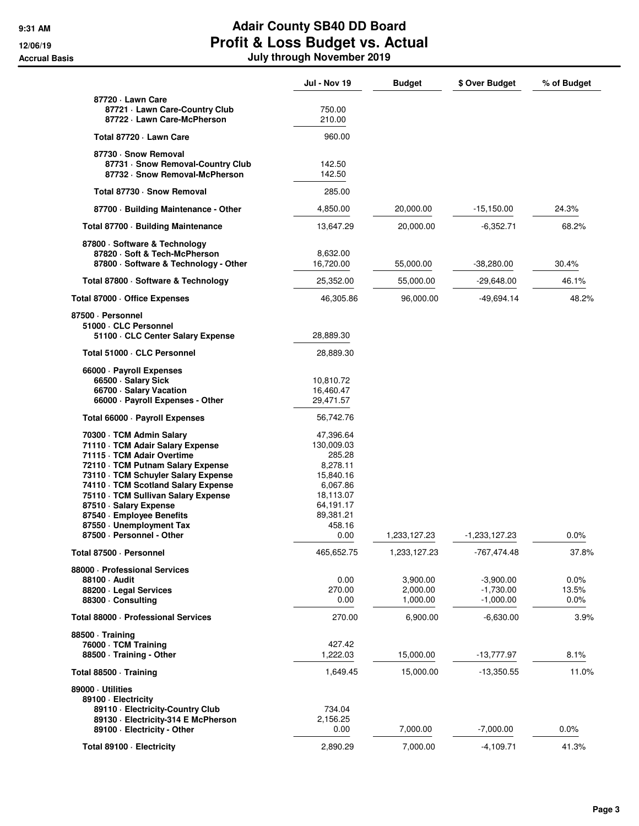|                                                                                                                                                                                                                                                                                                                                         | <b>Jul - Nov 19</b>                                                                                                     | <b>Budget</b>                                    | \$ Over Budget                                           | % of Budget                       |
|-----------------------------------------------------------------------------------------------------------------------------------------------------------------------------------------------------------------------------------------------------------------------------------------------------------------------------------------|-------------------------------------------------------------------------------------------------------------------------|--------------------------------------------------|----------------------------------------------------------|-----------------------------------|
| 87720 - Lawn Care<br>87721 · Lawn Care-Country Club<br>87722 · Lawn Care-McPherson                                                                                                                                                                                                                                                      | 750.00<br>210.00                                                                                                        |                                                  |                                                          |                                   |
| Total 87720 · Lawn Care                                                                                                                                                                                                                                                                                                                 | 960.00                                                                                                                  |                                                  |                                                          |                                   |
| 87730 · Snow Removal<br>87731 · Snow Removal-Country Club<br>87732 · Snow Removal-McPherson                                                                                                                                                                                                                                             | 142.50<br>142.50                                                                                                        |                                                  |                                                          |                                   |
| Total 87730 · Snow Removal                                                                                                                                                                                                                                                                                                              | 285.00                                                                                                                  |                                                  |                                                          |                                   |
| 87700 · Building Maintenance - Other                                                                                                                                                                                                                                                                                                    | 4,850.00                                                                                                                | 20,000.00                                        | $-15,150.00$                                             | 24.3%                             |
| Total 87700 · Building Maintenance                                                                                                                                                                                                                                                                                                      | 13,647.29                                                                                                               | 20,000.00                                        | $-6,352.71$                                              | 68.2%                             |
| 87800 · Software & Technology<br>87820 · Soft & Tech-McPherson<br>87800 · Software & Technology - Other                                                                                                                                                                                                                                 | 8,632.00<br>16,720.00                                                                                                   | 55,000.00                                        | $-38,280.00$                                             | 30.4%                             |
| Total 87800 · Software & Technology                                                                                                                                                                                                                                                                                                     | 25,352.00                                                                                                               | 55,000.00                                        | $-29,648.00$                                             | 46.1%                             |
| Total 87000 · Office Expenses                                                                                                                                                                                                                                                                                                           | 46,305.86                                                                                                               | 96,000.00                                        | $-49,694.14$                                             | 48.2%                             |
| 87500 · Personnel<br>51000 · CLC Personnel<br>51100 · CLC Center Salary Expense                                                                                                                                                                                                                                                         | 28,889.30                                                                                                               |                                                  |                                                          |                                   |
| Total 51000 · CLC Personnel                                                                                                                                                                                                                                                                                                             | 28,889.30                                                                                                               |                                                  |                                                          |                                   |
| 66000 · Payroll Expenses<br>66500 · Salary Sick<br>66700 · Salary Vacation<br>66000 · Payroll Expenses - Other                                                                                                                                                                                                                          | 10,810.72<br>16,460.47<br>29,471.57                                                                                     |                                                  |                                                          |                                   |
| Total 66000 · Payroll Expenses                                                                                                                                                                                                                                                                                                          | 56,742.76                                                                                                               |                                                  |                                                          |                                   |
| 70300 · TCM Admin Salary<br>71110 · TCM Adair Salary Expense<br>71115 · TCM Adair Overtime<br>72110 · TCM Putnam Salary Expense<br>73110 · TCM Schuyler Salary Expense<br>74110 · TCM Scotland Salary Expense<br>75110 · TCM Sullivan Salary Expense<br>87510 · Salary Expense<br>87540 · Employee Benefits<br>87550 · Unemployment Tax | 47,396.64<br>130,009.03<br>285.28<br>8,278.11<br>15,840.16<br>6,067.86<br>18,113.07<br>64,191.17<br>89,381.21<br>458.16 |                                                  |                                                          |                                   |
| 87500 · Personnel - Other                                                                                                                                                                                                                                                                                                               | 0.00                                                                                                                    | 1,233,127.23                                     | -1,233,127.23                                            | 0.0%                              |
| Total 87500 · Personnel<br>88000 · Professional Services<br>88100 Audit<br>88200 · Legal Services<br>88300 · Consulting                                                                                                                                                                                                                 | 465,652.75<br>0.00<br>270.00<br>0.00                                                                                    | 1,233,127.23<br>3,900.00<br>2,000.00<br>1,000.00 | -767,474.48<br>$-3,900.00$<br>$-1,730.00$<br>$-1,000.00$ | 37.8%<br>0.0%<br>13.5%<br>$0.0\%$ |
| Total 88000 · Professional Services                                                                                                                                                                                                                                                                                                     | 270.00                                                                                                                  | 6,900.00                                         | $-6,630.00$                                              | 3.9%                              |
| 88500 · Training<br>76000 · TCM Training<br>88500 · Training - Other                                                                                                                                                                                                                                                                    | 427.42<br>1,222.03                                                                                                      | 15,000.00                                        | $-13,777.97$                                             | 8.1%                              |
| Total 88500 · Training                                                                                                                                                                                                                                                                                                                  | 1,649.45                                                                                                                | 15,000.00                                        | $-13,350.55$                                             | 11.0%                             |
| 89000 · Utilities<br>89100 - Electricity<br>89110 - Electricity-Country Club<br>89130 - Electricity-314 E McPherson<br>89100 · Electricity - Other                                                                                                                                                                                      | 734.04<br>2,156.25<br>0.00                                                                                              | 7,000.00                                         | $-7,000.00$                                              | $0.0\%$                           |
| Total 89100 · Electricity                                                                                                                                                                                                                                                                                                               | 2,890.29                                                                                                                | 7,000.00                                         | $-4,109.71$                                              | 41.3%                             |